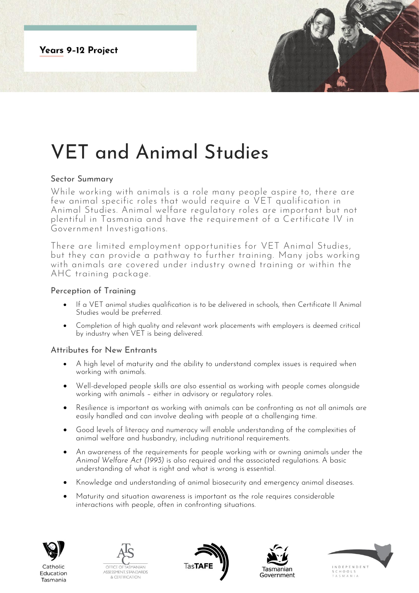**Years 9-12 Project** 

# VET and Animal Studies

## Sector Summary

While working with animals is a role many people aspire to, there are few animal specific roles that would require a VET qualification in Animal Studies. Animal welfare regulatory roles are important but not plentiful in Tasmania and have the requirement of a Certificate IV in Government Investigations.

There are limited employment opportunities for VET Animal Studies, but they can provide a pathway to further training. Many jobs working with animals are covered under industry owned training or within the AHC training package.

## Perception of Training

- If a VET animal studies qualification is to be delivered in schools, then Certificate II Animal Studies would be preferred.
- Completion of high quality and relevant work placements with employers is deemed critical by industry when VET is being delivered.

#### Attributes for New Entrants

- A high level of maturity and the ability to understand complex issues is required when working with animals.
- Well-developed people skills are also essential as working with people comes alongside working with animals – either in advisory or regulatory roles.
- Resilience is important as working with animals can be confronting as not all animals are easily handled and can involve dealing with people at a challenging time.
- Good levels of literacy and numeracy will enable understanding of the complexities of animal welfare and husbandry, including nutritional requirements.
- An awareness of the requirements for people working with or owning animals under the *Animal Welfare Act (1993)* is also required and the associated regulations. A basic understanding of what is right and what is wrong is essential.
- Knowledge and understanding of animal biosecurity and emergency animal diseases.
- Maturity and situation awareness is important as the role requires considerable interactions with people, often in confronting situations.